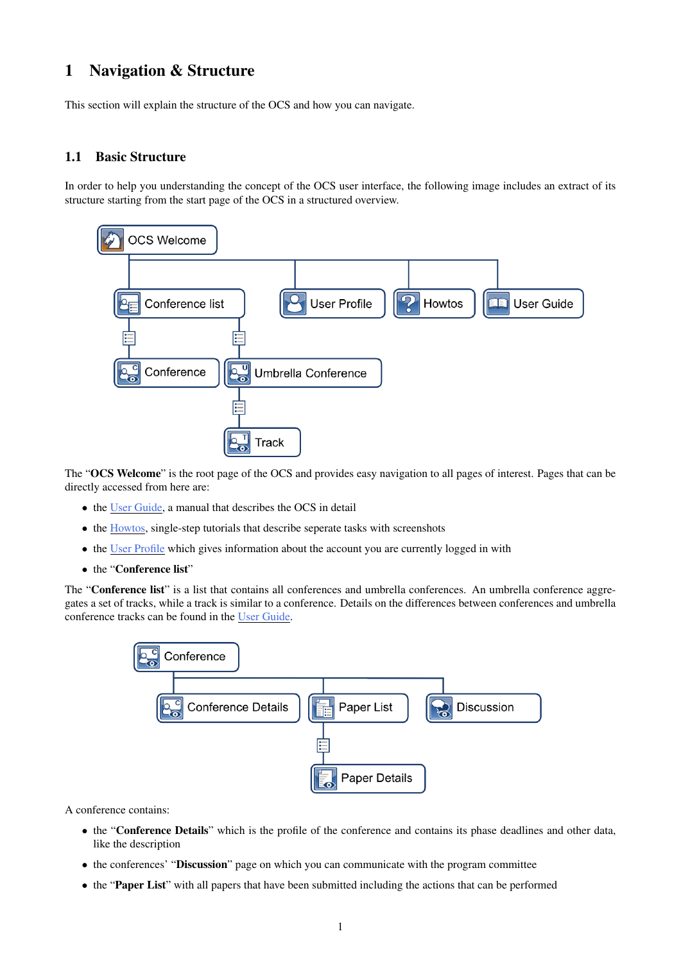## <span id="page-0-0"></span>1 Navigation & Structure

This section will explain the structure of the OCS and how you can navigate.

## 1.1 Basic Structure

In order to help you understanding the concept of the OCS user interface, the following image includes an extract of its structure starting from the start page of the OCS in a structured overview.



The "OCS Welcome" is the root page of the OCS and provides easy navigation to all pages of interest. Pages that can be directly accessed from here are:

- the User Guide, a manual that describes the OCS in detail
- the Howtos, single-step tutorials that describe seperate tasks with screenshots
- the User Profile which gives information about the account you are currently logged in with
- the "Conference list"

The "Conference list" is a list that contains all conferences and umbrella conferences. An umbrella conference aggregates a set of tracks, while a track is similar to a conference. Details on the differences between conferences and umbrella conference tracks can be found in the User Guide.



A conference contains:

- the "Conference Details" which is the profile of the conference and contains its phase deadlines and other data, like the description
- the conferences' "Discussion" page on which you can communicate with the program committee
- the "Paper List" with all papers that have been submitted including the actions that can be performed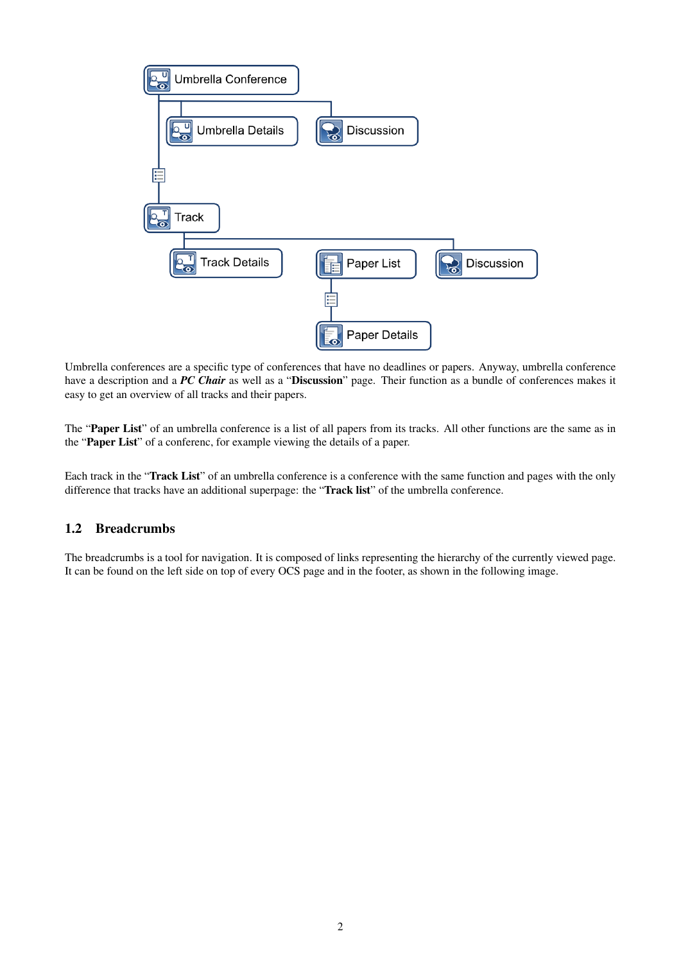

Umbrella conferences are a specific type of conferences that have no deadlines or papers. Anyway, umbrella conference have a description and a *PC Chair* as well as a "Discussion" page. Their function as a bundle of conferences makes it easy to get an overview of all tracks and their papers.

The "Paper List" of an umbrella conference is a list of all papers from its tracks. All other functions are the same as in the "Paper List" of a conferenc, for example viewing the details of a paper.

Each track in the "Track List" of an umbrella conference is a conference with the same function and pages with the only difference that tracks have an additional superpage: the "Track list" of the umbrella conference.

## 1.2 Breadcrumbs

The breadcrumbs is a tool for navigation. It is composed of links representing the hierarchy of the currently viewed page. It can be found on the left side on top of every OCS page and in the footer, as shown in the following image.